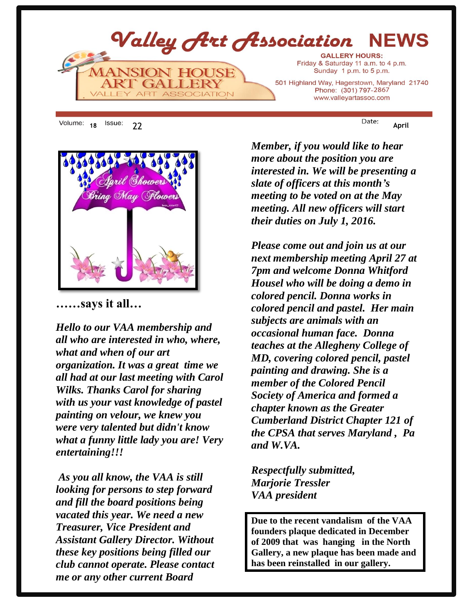

18 <sup>ISSUE:</sup> 22 **April** 



**……says it all…**

*Hello to our VAA membership and all who are interested in who, where, what and when of our art organization. It was a great time we all had at our last meeting with Carol Wilks. Thanks Carol for sharing with us your vast knowledge of pastel painting on velour, we knew you were very talented but didn't know what a funny little lady you are! Very entertaining!!!* 

*As you all know, the VAA is still looking for persons to step forward and fill the board positions being vacated this year. We need a new Treasurer, Vice President and Assistant Gallery Director. Without these key positions being filled our club cannot operate. Please contact me or any other current Board* 

*Member, if you would like to hear more about the position you are interested in. We will be presenting a slate of officers at this month's meeting to be voted on at the May meeting. All new officers will start their duties on July 1, 2016.* 

*Please come out and join us at our next membership meeting April 27 at 7pm and welcome Donna Whitford Housel who will be doing a demo in colored pencil. Donna works in colored pencil and pastel. Her main subjects are animals with an occasional human face. Donna teaches at the Allegheny College of MD, covering colored pencil, pastel painting and drawing. She is a member of the Colored Pencil Society of America and formed a chapter known as the Greater Cumberland District Chapter 121 of the CPSA that serves Maryland , Pa and W.VA.* 

*Respectfully submitted, Marjorie Tressler VAA president*

**Due to the recent vandalism of the VAA founders plaque dedicated in December of 2009 that was hanging in the North Gallery, a new plaque has been made and has been reinstalled in our gallery.**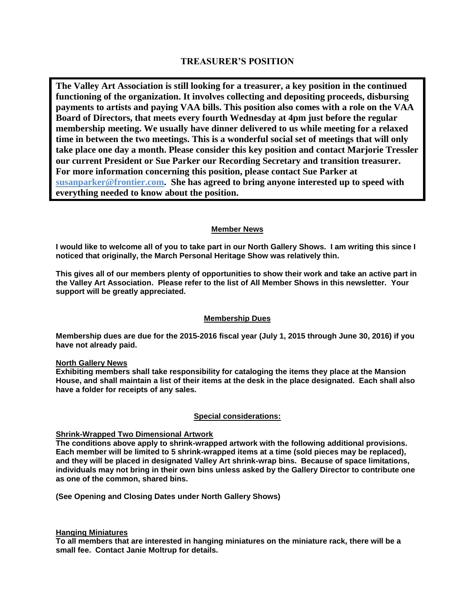### **TREASURER'S POSITION**

**The Valley Art Association is still looking for a treasurer, a key position in the continued functioning of the organization. It involves collecting and depositing proceeds, disbursing payments to artists and paying VAA bills. This position also comes with a role on the VAA Board of Directors, that meets every fourth Wednesday at 4pm just before the regular membership meeting. We usually have dinner delivered to us while meeting for a relaxed time in between the two meetings. This is a wonderful social set of meetings that will only take place one day a month. Please consider this key position and contact Marjorie Tressler our current President or Sue Parker our Recording Secretary and transition treasurer. For more information concerning this position, please contact Sue Parker at susanparker@frontier.com. She has agreed to bring anyone interested up to speed with everything needed to know about the position.**

### **Member News**

**I would like to welcome all of you to take part in our North Gallery Shows. I am writing this since I noticed that originally, the March Personal Heritage Show was relatively thin.**

**This gives all of our members plenty of opportunities to show their work and take an active part in the Valley Art Association. Please refer to the list of All Member Shows in this newsletter. Your support will be greatly appreciated.**

### **Membership Dues**

**Membership dues are due for the 2015-2016 fiscal year (July 1, 2015 through June 30, 2016) if you have not already paid.**

#### **North Gallery News**

**Exhibiting members shall take responsibility for cataloging the items they place at the Mansion House, and shall maintain a list of their items at the desk in the place designated. Each shall also have a folder for receipts of any sales.** 

#### **Special considerations:**

### **Shrink-Wrapped Two Dimensional Artwork**

**The conditions above apply to shrink-wrapped artwork with the following additional provisions. Each member will be limited to 5 shrink-wrapped items at a time (sold pieces may be replaced), and they will be placed in designated Valley Art shrink-wrap bins. Because of space limitations, individuals may not bring in their own bins unless asked by the Gallery Director to contribute one as one of the common, shared bins.**

**(See Opening and Closing Dates under North Gallery Shows)**

#### **Hanging Miniatures**

**To all members that are interested in hanging miniatures on the miniature rack, there will be a small fee. Contact Janie Moltrup for details.**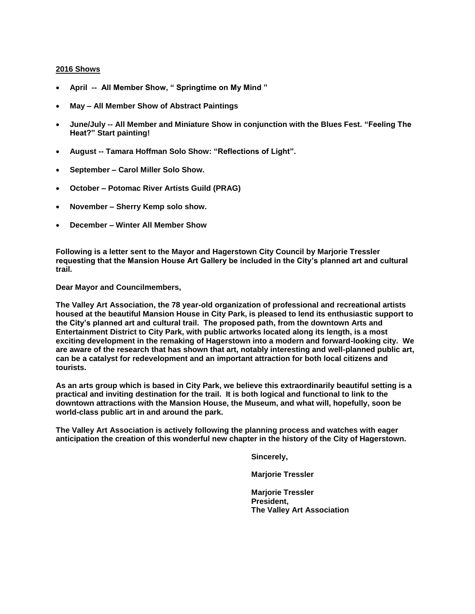#### **2016 Shows**

- **April -- All Member Show, " Springtime on My Mind "**
- **May – All Member Show of Abstract Paintings**
- **June/July -- All Member and Miniature Show in conjunction with the Blues Fest. "Feeling The Heat?" Start painting!**
- **August -- Tamara Hoffman Solo Show: "Reflections of Light".**
- **September – Carol Miller Solo Show.**
- **October – Potomac River Artists Guild (PRAG)**
- **November – Sherry Kemp solo show.**
- **December – Winter All Member Show**

**Following is a letter sent to the Mayor and Hagerstown City Council by Marjorie Tressler requesting that the Mansion House Art Gallery be included in the City's planned art and cultural trail.**

**Dear Mayor and Councilmembers,**

**The Valley Art Association, the 78 year-old organization of professional and recreational artists housed at the beautiful Mansion House in City Park, is pleased to lend its enthusiastic support to the City's planned art and cultural trail. The proposed path, from the downtown Arts and Entertainment District to City Park, with public artworks located along its length, is a most exciting development in the remaking of Hagerstown into a modern and forward-looking city. We are aware of the research that has shown that art, notably interesting and well-planned public art, can be a catalyst for redevelopment and an important attraction for both local citizens and tourists.** 

**As an arts group which is based in City Park, we believe this extraordinarily beautiful setting is a practical and inviting destination for the trail. It is both logical and functional to link to the downtown attractions with the Mansion House, the Museum, and what will, hopefully, soon be world-class public art in and around the park.**

**The Valley Art Association is actively following the planning process and watches with eager anticipation the creation of this wonderful new chapter in the history of the City of Hagerstown.**

**Sincerely,**

**Marjorie Tressler**

**Marjorie Tressler President, The Valley Art Association**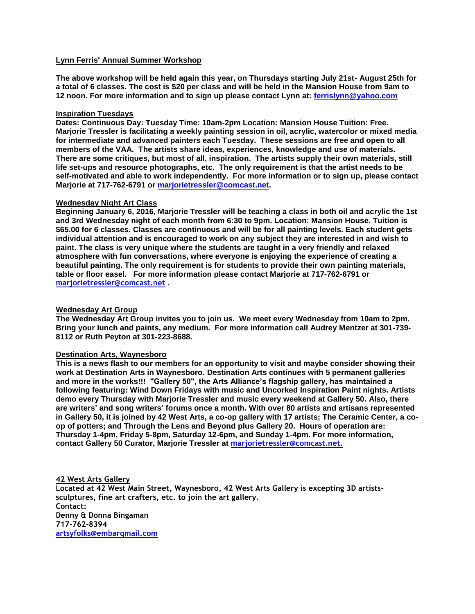#### **Lynn Ferris' Annual Summer Workshop**

**The above workshop will be held again this year, on Thursdays starting July 21st- August 25th for a total of 6 classes. The cost is \$20 per class and will be held in the Mansion House from 9am to 12 noon. For more information and to sign up please contact Lynn at: [ferrislynn@yahoo.com](mailto:ferrislynn@yahoo.com)**

#### **Inspiration Tuesdays**

**Dates: Continuous Day: Tuesday Time: 10am-2pm Location: Mansion House Tuition: Free. Marjorie Tressler is facilitating a weekly painting session in oil, acrylic, watercolor or mixed media for intermediate and advanced painters each Tuesday. These sessions are free and open to all members of the VAA. The artists share ideas, experiences, knowledge and use of materials. There are some critiques, but most of all, inspiration. The artists supply their own materials, still life set-ups and resource photographs, etc. The only requirement is that the artist needs to be self-motivated and able to work independently. For more information or to sign up, please contact Marjorie at 717-762-6791 or [marjorietressler@comcast.net.](mailto:marjorietressler@comcast.net)**

#### **Wednesday Night Art Class**

**Beginning January 6, 2016, Marjorie Tressler will be teaching a class in both oil and acrylic the 1st and 3rd Wednesday night of each month from 6:30 to 9pm. Location: Mansion House. Tuition is \$65.00 for 6 classes. Classes are continuous and will be for all painting levels. Each student gets individual attention and is encouraged to work on any subject they are interested in and wish to paint. The class is very unique where the students are taught in a very friendly and relaxed atmosphere with fun conversations, where everyone is enjoying the experience of creating a beautiful painting. The only requirement is for students to provide their own painting materials, table or floor easel. For more information please contact Marjorie at 717-762-6791 or marjorietressler@comcast.net .**

#### **Wednesday Art Group**

**The Wednesday Art Group invites you to join us. We meet every Wednesday from 10am to 2pm. Bring your lunch and paints, any medium. For more information call Audrey Mentzer at 301-739- 8112 or Ruth Peyton at 301-223-8688.**

#### **Destination Arts, Waynesboro**

**This is a news flash to our members for an opportunity to visit and maybe consider showing their work at Destination Arts in Waynesboro. Destination Arts continues with 5 permanent galleries and more in the works!!! "Gallery 50", the Arts Alliance's flagship gallery, has maintained a following featuring: Wind Down Fridays with music and Uncorked Inspiration Paint nights. Artists demo every Thursday with Marjorie Tressler and music every weekend at Gallery 50. Also, there are writers' and song writers' forums once a month. With over 80 artists and artisans represented in Gallery 50, it is joined by 42 West Arts, a co-op gallery with 17 artists; The Ceramic Center, a coop of potters; and Through the Lens and Beyond plus Gallery 20. Hours of operation are: Thursday 1-4pm, Friday 5-8pm, Saturday 12-6pm, and Sunday 1-4pm. For more information, contact Gallery 50 Curator, Marjorie Tressler at [marjorietressler@comcast.net.](mailto:marjorietressler@comcast.net)**

**42 West Arts Gallery Located at 42 West Main Street, Waynesboro, 42 West Arts Gallery is excepting 3D artistssculptures, fine art crafters, etc. to join the art gallery. Contact: Denny & Donna Bingaman 717-762-8394 [artsyfolks@embarqmail.com](mailto:artsyfolks@embarqmail.com)**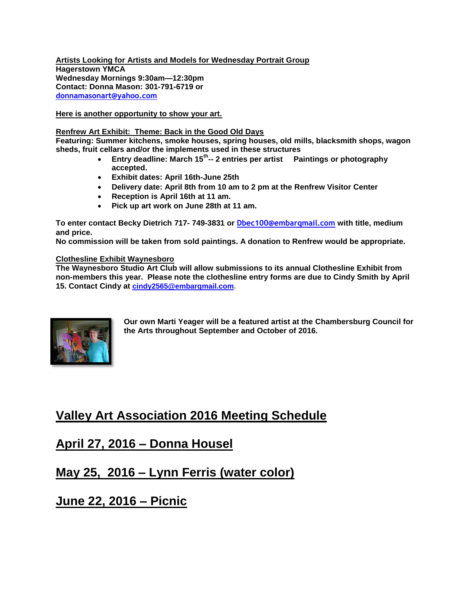**Artists Looking for Artists and Models for Wednesday Portrait Group Hagerstown YMCA Wednesday Mornings 9:30am—12:30pm Contact: Donna Mason: 301-791-6719 or [donnamasonart@yahoo.com](mailto:donnamasonart@yahoo.com)**

**Here is another opportunity to show your art.**

#### **Renfrew Art Exhibit: Theme: Back in the Good Old Days**

**Featuring: Summer kitchens, smoke houses, spring houses, old mills, blacksmith shops, wagon sheds, fruit cellars and/or the implements used in these structures**

- **Entry deadline: March 15th -- 2 entries per artist Paintings or photography accepted.**
- **Exhibit dates: April 16th-June 25th**
- **Delivery date: April 8th from 10 am to 2 pm at the Renfrew Visitor Center**
- **Reception is April 16th at 11 am.**
- **Pick up art work on June 28th at 11 am.**

**To enter contact Becky Dietrich 717- 749-3831 or Dbec100@embarqmail.com with title, medium and price.**

**No commission will be taken from sold paintings. A donation to Renfrew would be appropriate.**

#### **Clothesline Exhibit Waynesboro**

**The Waynesboro Studio Art Club will allow submissions to its annual Clothesline Exhibit from non-members this year. Please note the clothesline entry forms are due to Cindy Smith by April 15. Contact Cindy at [cindy2565@embarqmail.com.](mailto:cindy2565@embarqmail.com)**



**Our own Marti Yeager will be a featured artist at the Chambersburg Council for the Arts throughout September and October of 2016.**

# **Valley Art Association 2016 Meeting Schedule**

# **April 27, 2016 – Donna Housel**

# **May 25, 2016 – Lynn Ferris (water color)**

# **June 22, 2016 – Picnic**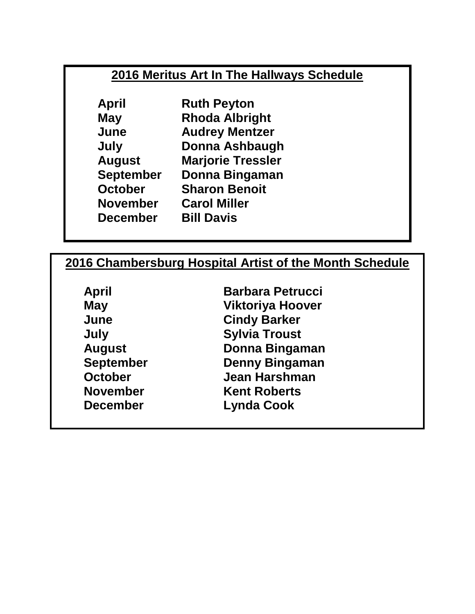# **2016 Meritus Art In The Hallways Schedule**

**April Ruth Peyton May Rhoda Albright June Audrey Mentzer July Donna Ashbaugh August Marjorie Tressler September Donna Bingaman October Sharon Benoit November Carol Miller December Bill Davis**

# **2016 Chambersburg Hospital Artist of the Month Schedule**

**April Barbara Petrucci May Viktoriya Hoover June Cindy Barker July Sylvia Troust August Donna Bingaman September Denny Bingaman October Jean Harshman November Kent Roberts December Lynda Cook**